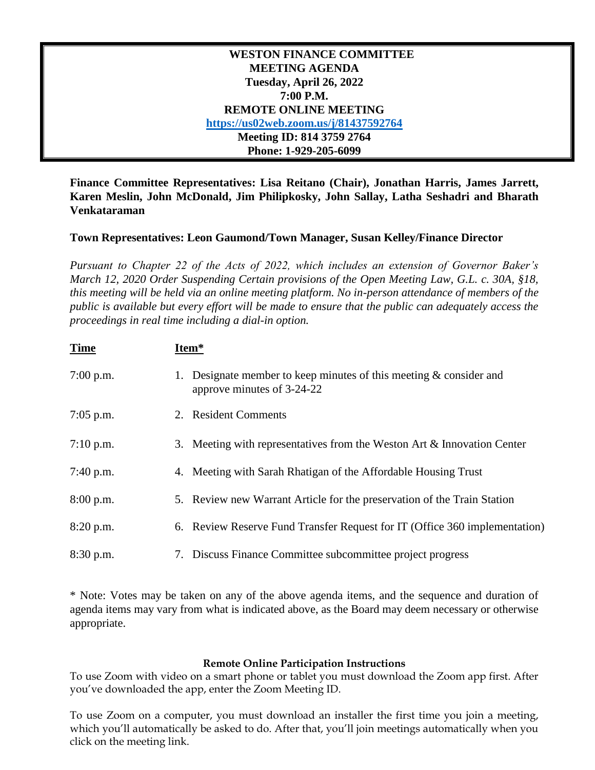| <b>WESTON FINANCE COMMITTEE</b>       |  |  |
|---------------------------------------|--|--|
| <b>MEETING AGENDA</b>                 |  |  |
| Tuesday, April 26, 2022               |  |  |
| 7:00 P.M.                             |  |  |
| <b>REMOTE ONLINE MEETING</b>          |  |  |
| https://us02web.zoom.us/j/81437592764 |  |  |
| Meeting ID: 814 3759 2764             |  |  |
| Phone: 1-929-205-6099                 |  |  |

**Finance Committee Representatives: Lisa Reitano (Chair), Jonathan Harris, James Jarrett, Karen Meslin, John McDonald, Jim Philipkosky, John Sallay, Latha Seshadri and Bharath Venkataraman**

## **Town Representatives: Leon Gaumond/Town Manager, Susan Kelley/Finance Director**

*Pursuant to Chapter 22 of the Acts of 2022, which includes an extension of Governor Baker's March 12, 2020 Order Suspending Certain provisions of the Open Meeting Law, G.L. c. 30A, §18, this meeting will be held via an online meeting platform. No in-person attendance of members of the public is available but every effort will be made to ensure that the public can adequately access the proceedings in real time including a dial-in option.*

| <b>Time</b> | Item*                                                                                              |
|-------------|----------------------------------------------------------------------------------------------------|
| $7:00$ p.m. | 1. Designate member to keep minutes of this meeting $&$ consider and<br>approve minutes of 3-24-22 |
| $7:05$ p.m. | 2. Resident Comments                                                                               |
| $7:10$ p.m. | 3. Meeting with representatives from the Weston Art & Innovation Center                            |
| $7:40$ p.m. | 4. Meeting with Sarah Rhatigan of the Affordable Housing Trust                                     |
| 8:00 p.m.   | 5. Review new Warrant Article for the preservation of the Train Station                            |
| 8:20 p.m.   | 6. Review Reserve Fund Transfer Request for IT (Office 360 implementation)                         |
| 8:30 p.m.   | 7. Discuss Finance Committee subcommittee project progress                                         |

\* Note: Votes may be taken on any of the above agenda items, and the sequence and duration of agenda items may vary from what is indicated above, as the Board may deem necessary or otherwise appropriate.

## **Remote Online Participation Instructions**

To use Zoom with video on a smart phone or tablet you must download the Zoom app first. After you've downloaded the app, enter the Zoom Meeting ID.

To use Zoom on a computer, you must download an installer the first time you join a meeting, which you'll automatically be asked to do. After that, you'll join meetings automatically when you click on the meeting link.